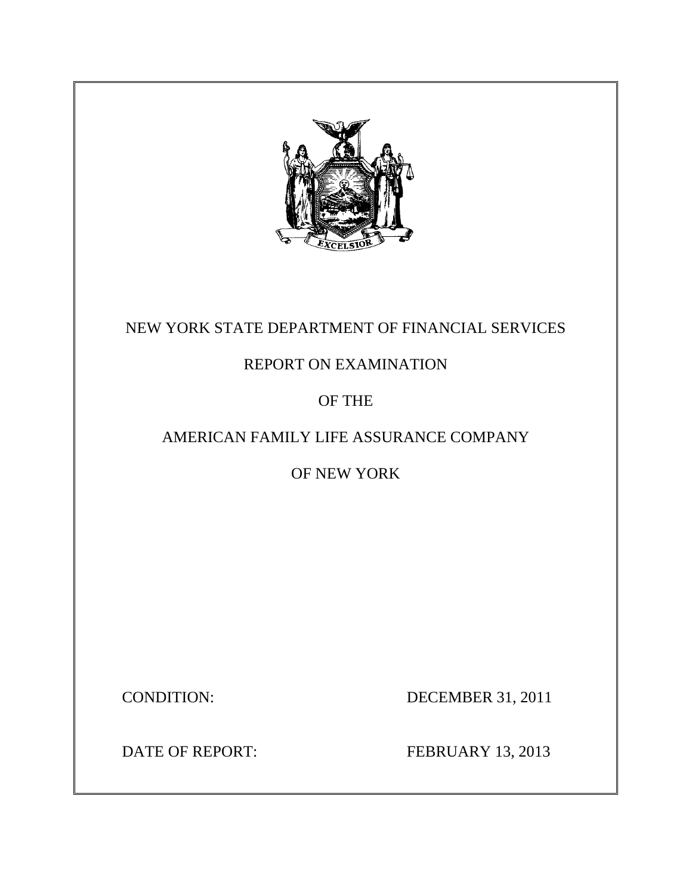

# NEW YORK STATE DEPARTMENT OF FINANCIAL SERVICES

# REPORT ON EXAMINATION

# OF THE

# AMERICAN FAMILY LIFE ASSURANCE COMPANY

# OF NEW YORK

CONDITION: DECEMBER 31, 2011

**DATE OF REPORT:** 

FEBRUARY 13, 2013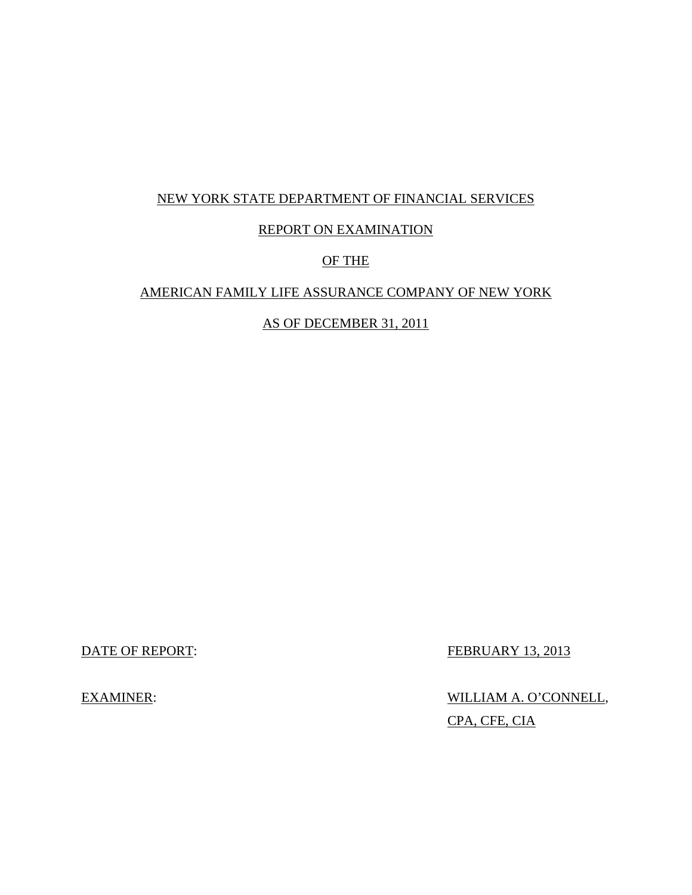### NEW YORK STATE DEPARTMENT OF FINANCIAL SERVICES

### REPORT ON EXAMINATION

### OF THE

### AMERICAN FAMILY LIFE ASSURANCE COMPANY OF NEW YORK

### AS OF DECEMBER 31, 2011

DATE OF REPORT: FEBRUARY 13, 2013

 CPA, CFE, CIA EXAMINER: WILLIAM A. O'CONNELL,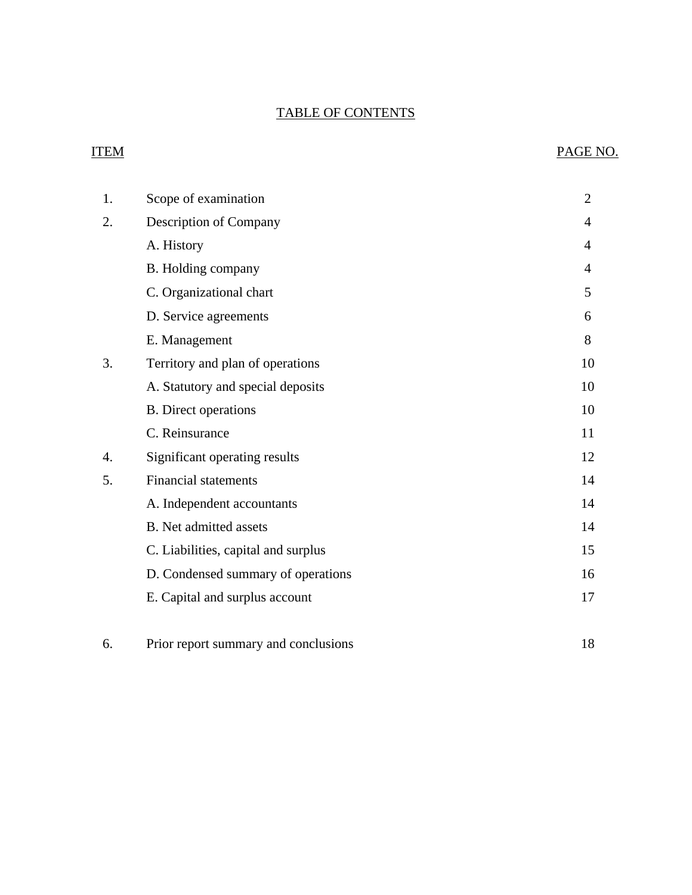### TABLE OF CONTENTS

# ITEM PAGE NO.

| 1. | Scope of examination                | $\overline{2}$ |
|----|-------------------------------------|----------------|
| 2. | Description of Company              | 4              |
|    | A. History                          | 4              |
|    | B. Holding company                  | 4              |
|    | C. Organizational chart             | 5              |
|    | D. Service agreements               | 6              |
|    | E. Management                       | 8              |
| 3. | Territory and plan of operations    | 10             |
|    | A. Statutory and special deposits   | 10             |
|    | <b>B.</b> Direct operations         | 10             |
|    | C. Reinsurance                      | 11             |
| 4. | Significant operating results       | 12             |
| 5. | <b>Financial statements</b>         | 14             |
|    | A. Independent accountants          | 14             |
|    | B. Net admitted assets              | 14             |
|    | C. Liabilities, capital and surplus | 15             |
|    | D. Condensed summary of operations  | 16             |
|    | E. Capital and surplus account      | 17             |
|    |                                     |                |

# [6. Prior report summary and conclusions 18](#page-20-0)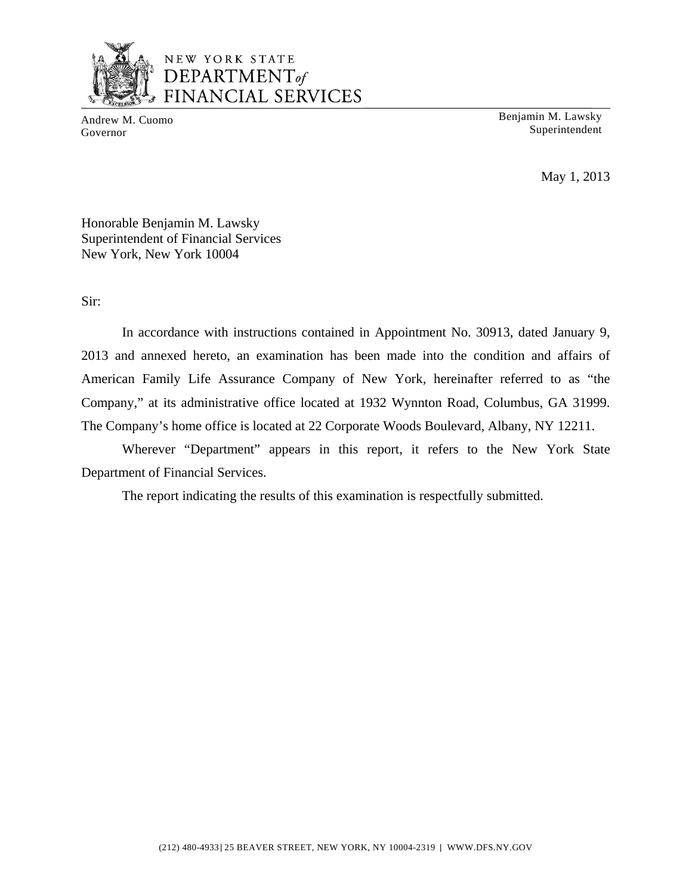

### NEW YORK STATE DEPARTMENT<sub>of</sub> FINANCIAL SERVICES

Andrew M. Cuomo Benjamin M. Lawsky<br>Governor Benjamin M. Lawsky<br>Superintendent Superintendent

May 1, 2013

Honorable Benjamin M. Lawsky Superintendent of Financial Services New York, New York 10004

Sir:

In accordance with instructions contained in Appointment No. 30913, dated January 9, 2013 and annexed hereto, an examination has been made into the condition and affairs of American Family Life Assurance Company of New York, hereinafter referred to as "the Company," at its administrative office located at 1932 Wynnton Road, Columbus, GA 31999. The Company's home office is located at 22 Corporate Woods Boulevard, Albany, NY 12211.

Wherever "Department" appears in this report, it refers to the New York State Department of Financial Services.

The report indicating the results of this examination is respectfully submitted.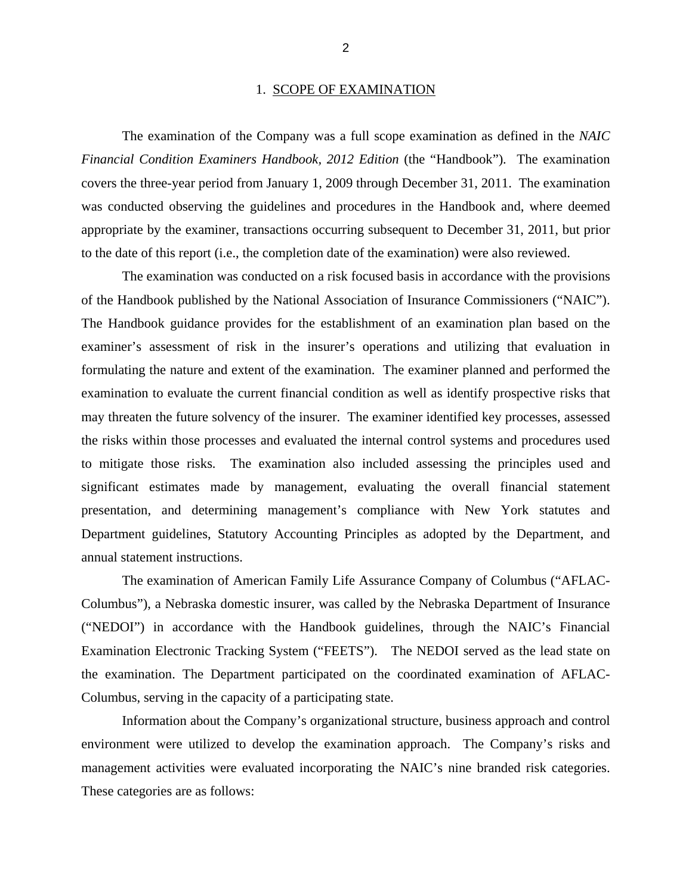#### 1. SCOPE OF EXAMINATION

<span id="page-4-0"></span>The examination of the Company was a full scope examination as defined in the *NAIC Financial Condition Examiners Handbook, 2012 Edition* (the "Handbook"). The examination covers the three-year period from January 1, 2009 through December 31, 2011. The examination was conducted observing the guidelines and procedures in the Handbook and, where deemed appropriate by the examiner, transactions occurring subsequent to December 31, 2011, but prior to the date of this report (i.e., the completion date of the examination) were also reviewed.

The examination was conducted on a risk focused basis in accordance with the provisions of the Handbook published by the National Association of Insurance Commissioners ("NAIC"). The Handbook guidance provides for the establishment of an examination plan based on the examiner's assessment of risk in the insurer's operations and utilizing that evaluation in formulating the nature and extent of the examination. The examiner planned and performed the examination to evaluate the current financial condition as well as identify prospective risks that may threaten the future solvency of the insurer. The examiner identified key processes, assessed the risks within those processes and evaluated the internal control systems and procedures used to mitigate those risks. The examination also included assessing the principles used and significant estimates made by management, evaluating the overall financial statement presentation, and determining management's compliance with New York statutes and Department guidelines, Statutory Accounting Principles as adopted by the Department, and annual statement instructions.

The examination of American Family Life Assurance Company of Columbus ("AFLAC-Columbus"), a Nebraska domestic insurer, was called by the Nebraska Department of Insurance ("NEDOI") in accordance with the Handbook guidelines, through the NAIC's Financial Examination Electronic Tracking System ("FEETS"). The NEDOI served as the lead state on the examination. The Department participated on the coordinated examination of AFLAC-Columbus, serving in the capacity of a participating state.

Information about the Company's organizational structure, business approach and control environment were utilized to develop the examination approach. The Company's risks and management activities were evaluated incorporating the NAIC's nine branded risk categories. These categories are as follows: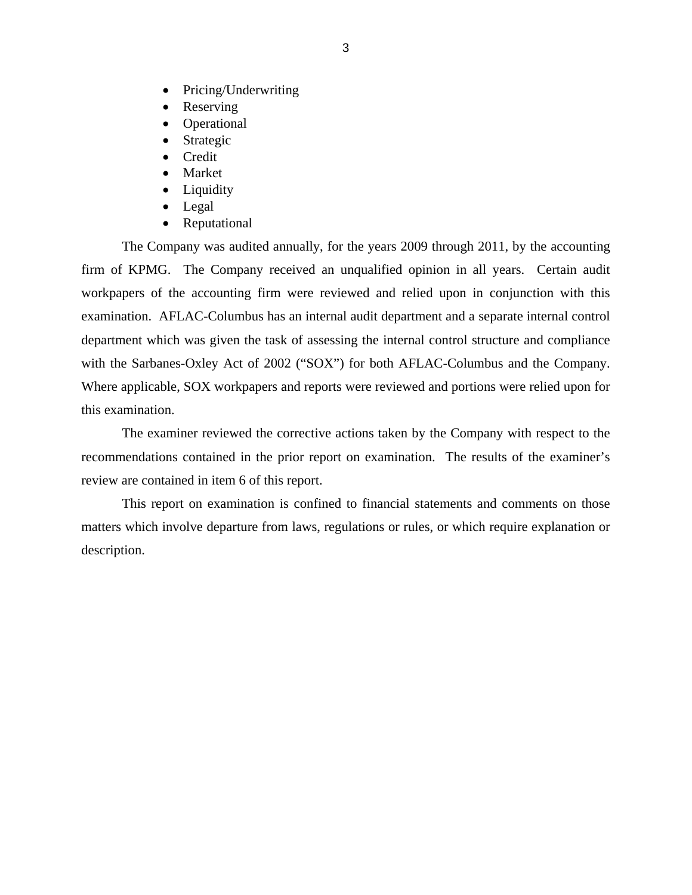- Pricing/Underwriting
- Reserving
- Operational
- Strategic
- Credit
- Market
- Liquidity
- Legal
- Reputational

The Company was audited annually, for the years 2009 through 2011, by the accounting firm of KPMG. The Company received an unqualified opinion in all years. Certain audit workpapers of the accounting firm were reviewed and relied upon in conjunction with this examination. AFLAC-Columbus has an internal audit department and a separate internal control department which was given the task of assessing the internal control structure and compliance with the Sarbanes-Oxley Act of 2002 ("SOX") for both AFLAC-Columbus and the Company. Where applicable, SOX workpapers and reports were reviewed and portions were relied upon for this examination.

The examiner reviewed the corrective actions taken by the Company with respect to the recommendations contained in the prior report on examination. The results of the examiner's review are contained in item 6 of this report.

This report on examination is confined to financial statements and comments on those matters which involve departure from laws, regulations or rules, or which require explanation or description.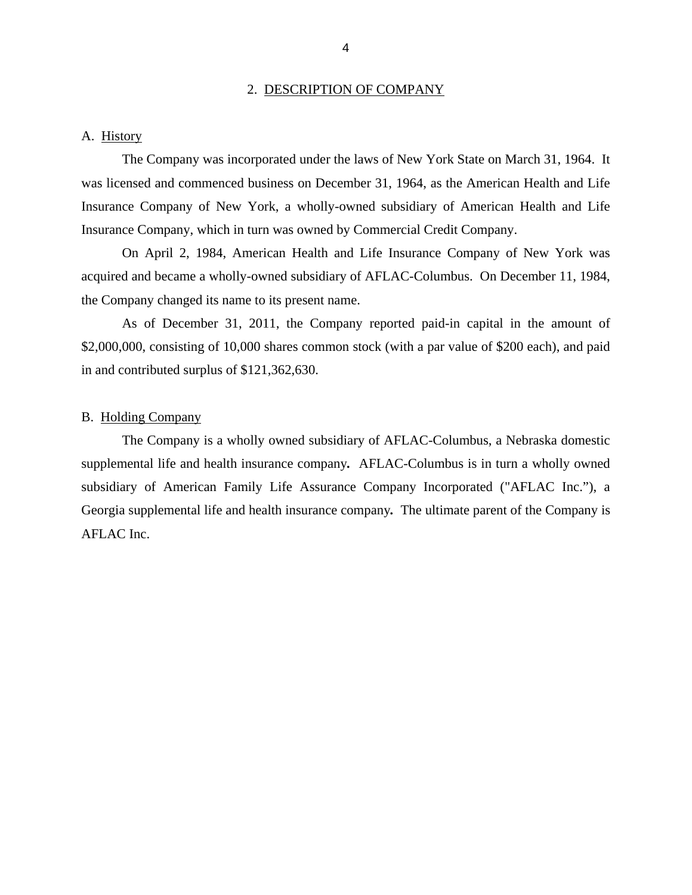#### 2. DESCRIPTION OF COMPANY

#### <span id="page-6-0"></span>A. History

The Company was incorporated under the laws of New York State on March 31, 1964. It was licensed and commenced business on December 31, 1964, as the American Health and Life Insurance Company of New York, a wholly-owned subsidiary of American Health and Life Insurance Company, which in turn was owned by Commercial Credit Company.

On April 2, 1984, American Health and Life Insurance Company of New York was acquired and became a wholly-owned subsidiary of AFLAC-Columbus. On December 11, 1984, the Company changed its name to its present name.

As of December 31, 2011, the Company reported paid-in capital in the amount of \$2,000,000, consisting of 10,000 shares common stock (with a par value of \$200 each), and paid in and contributed surplus of \$121,362,630.

### B. Holding Company

The Company is a wholly owned subsidiary of AFLAC-Columbus, a Nebraska domestic supplemental life and health insurance company*.* AFLAC-Columbus is in turn a wholly owned subsidiary of American Family Life Assurance Company Incorporated ("AFLAC Inc."), a Georgia supplemental life and health insurance company*.* The ultimate parent of the Company is AFLAC Inc.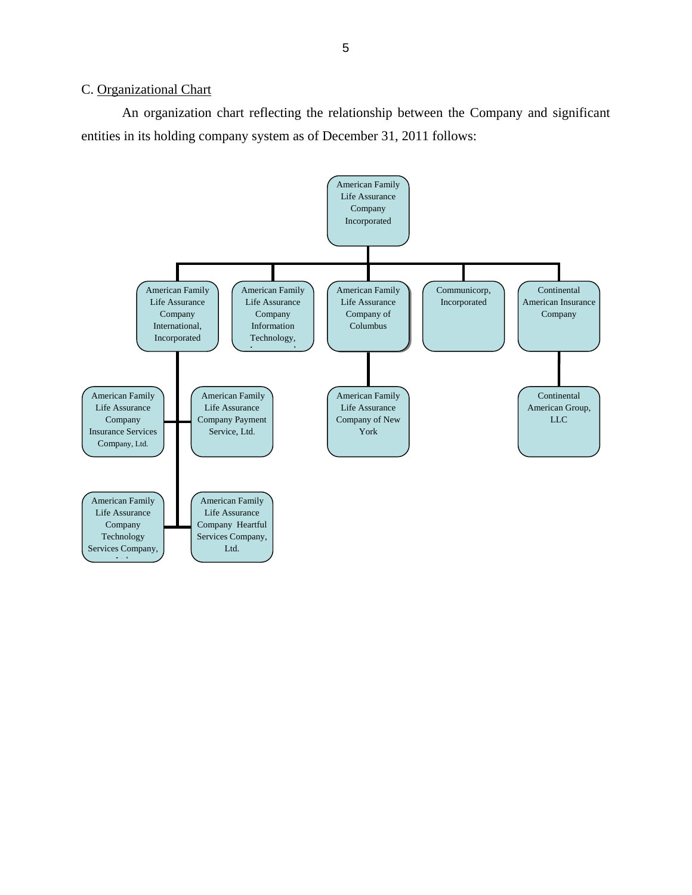### <span id="page-7-0"></span>C. Organizational Chart

An organization chart reflecting the relationship between the Company and significant entities in its holding company system as of December 31, 2011 follows:

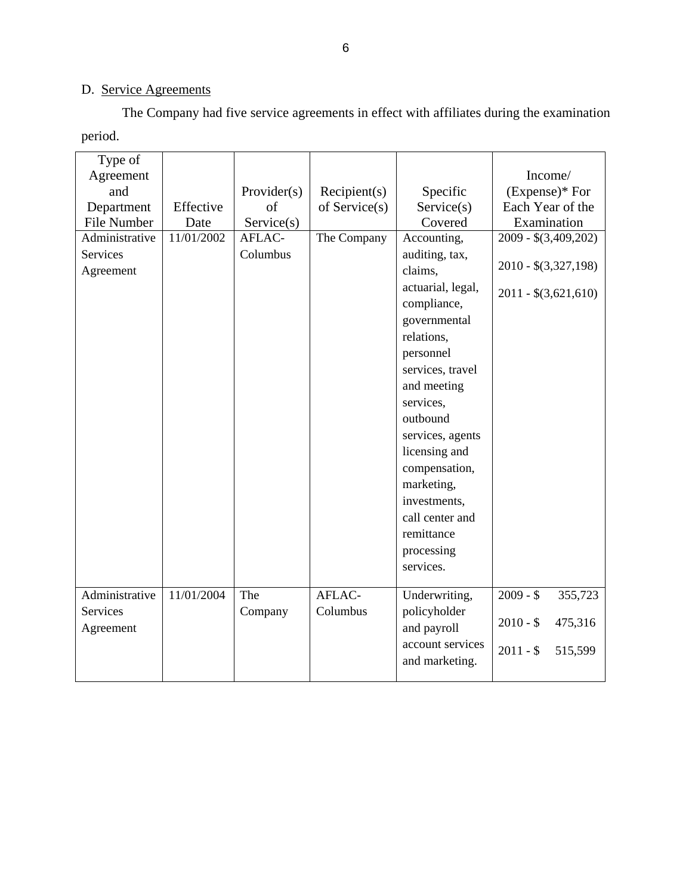# D. Service Agreements

The Company had five service agreements in effect with affiliates during the examination period.

| Type of            |            |                |               |                                    |                       |
|--------------------|------------|----------------|---------------|------------------------------------|-----------------------|
| Agreement          |            |                |               |                                    | Income/               |
| and                |            | Provider $(s)$ | Recipient(s)  | Specific                           | $(Express)*$ For      |
| Department         | Effective  | of             | of Service(s) | Service(s)                         | Each Year of the      |
| <b>File Number</b> | Date       | Service(s)     |               | Covered                            | Examination           |
| Administrative     | 11/01/2002 | AFLAC-         | The Company   | Accounting,                        | $2009 - $(3,409,202)$ |
| <b>Services</b>    |            | Columbus       |               | auditing, tax,                     |                       |
| Agreement          |            |                |               | claims,                            | $2010 - $(3,327,198)$ |
|                    |            |                |               | actuarial, legal,<br>compliance,   | $2011 - $(3,621,610)$ |
|                    |            |                |               | governmental                       |                       |
|                    |            |                |               | relations,                         |                       |
|                    |            |                |               | personnel                          |                       |
|                    |            |                |               | services, travel                   |                       |
|                    |            |                |               | and meeting                        |                       |
|                    |            |                |               | services,                          |                       |
|                    |            |                |               | outbound                           |                       |
|                    |            |                |               | services, agents                   |                       |
|                    |            |                |               | licensing and                      |                       |
|                    |            |                |               | compensation,                      |                       |
|                    |            |                |               | marketing,                         |                       |
|                    |            |                |               | investments,                       |                       |
|                    |            |                |               | call center and                    |                       |
|                    |            |                |               | remittance                         |                       |
|                    |            |                |               | processing                         |                       |
|                    |            |                |               | services.                          |                       |
|                    |            |                |               |                                    |                       |
| Administrative     | 11/01/2004 | The            | AFLAC-        | Underwriting,                      | $2009 - $$<br>355,723 |
| Services           |            | Company        | Columbus      | policyholder                       | $2010 - $$<br>475,316 |
| Agreement          |            |                |               | and payroll                        |                       |
|                    |            |                |               | account services<br>and marketing. | $2011 - $$<br>515,599 |
|                    |            |                |               |                                    |                       |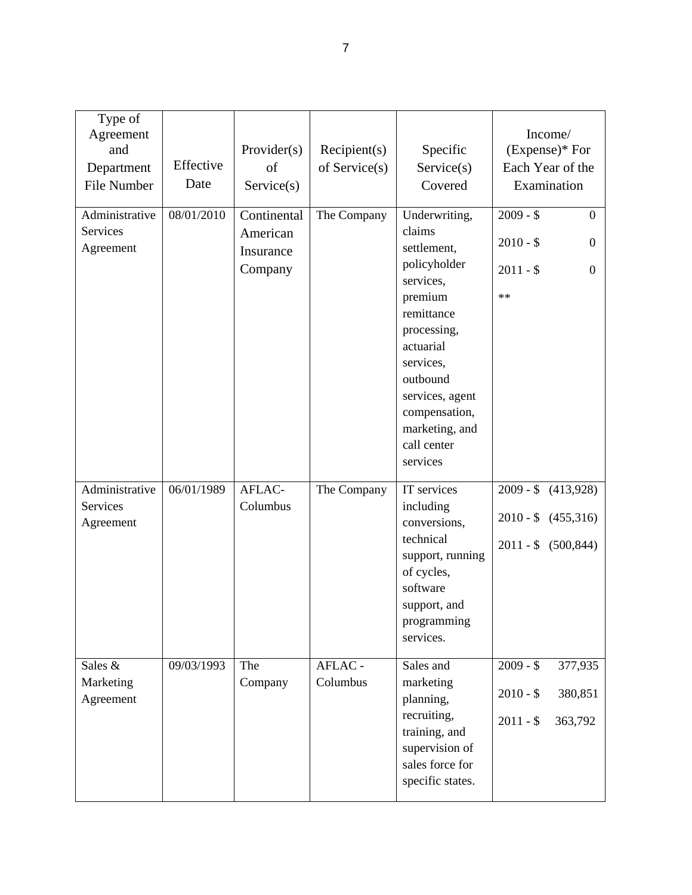| Type of<br>Agreement<br>and<br>Department<br>File Number | Effective<br>Date | Provider(s)<br>of<br>Service(s)                 | Recipient(s)<br>of Service $(s)$ | Specific<br>Service(s)<br>Covered                                                                                                                                                     | Income/<br>(Expense)* For<br>Each Year of the<br>Examination                                           |
|----------------------------------------------------------|-------------------|-------------------------------------------------|----------------------------------|---------------------------------------------------------------------------------------------------------------------------------------------------------------------------------------|--------------------------------------------------------------------------------------------------------|
| Administrative<br>Services<br>Agreement                  | 08/01/2010        | Continental<br>American<br>Insurance<br>Company | The Company                      | Underwriting,<br>claims<br>settlement,<br>policyholder<br>services,<br>premium<br>remittance<br>processing,<br>actuarial<br>services,<br>outbound<br>services, agent<br>compensation, | $2009 - $$<br>$\theta$<br>$2010 - $$<br>$\overline{0}$<br>$2011 - $$<br>$\boldsymbol{0}$<br>$\ast\ast$ |
|                                                          |                   |                                                 |                                  | marketing, and<br>call center<br>services                                                                                                                                             |                                                                                                        |
| Administrative<br>Services<br>Agreement                  | 06/01/1989        | AFLAC-<br>Columbus                              | The Company                      | IT services<br>including<br>conversions,<br>technical<br>support, running<br>of cycles,<br>software                                                                                   | $2009 - $$<br>(413,928)<br>$2010 - $$<br>(455,316)<br>$2011 - $$<br>(500, 844)                         |
|                                                          |                   |                                                 |                                  | support, and<br>programming<br>services.                                                                                                                                              |                                                                                                        |
| Sales &<br>Marketing<br>Agreement                        | 09/03/1993        | The<br>Company                                  | AFLAC -<br>Columbus              | Sales and<br>marketing<br>planning,<br>recruiting,<br>training, and<br>supervision of<br>sales force for<br>specific states.                                                          | $2009 - \frac{1}{9}$<br>377,935<br>$2010 - $$<br>380,851<br>$2011 - $$<br>363,792                      |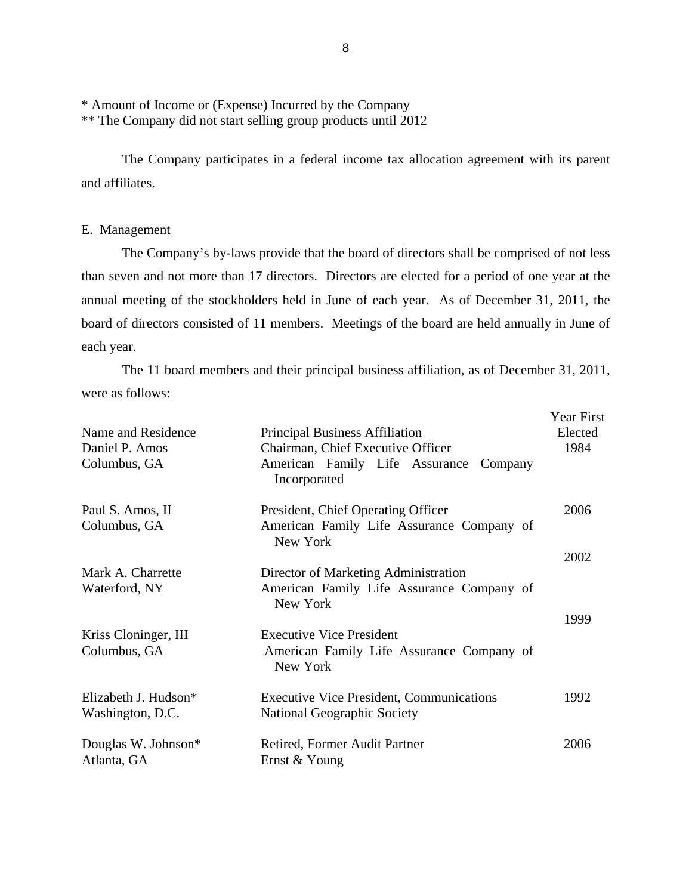\* Amount of Income or (Expense) Incurred by the Company

\*\* The Company did not start selling group products until 2012

The Company participates in a federal income tax allocation agreement with its parent and affiliates.

#### E. Management

The Company's by-laws provide that the board of directors shall be comprised of not less than seven and not more than 17 directors. Directors are elected for a period of one year at the annual meeting of the stockholders held in June of each year. As of December 31, 2011, the board of directors consisted of 11 members. Meetings of the board are held annually in June of each year.

The 11 board members and their principal business affiliation, as of December 31, 2011, were as follows:

| Name and Residence<br>Daniel P. Amos<br>Columbus, GA | <b>Principal Business Affiliation</b><br>Chairman, Chief Executive Officer<br>American Family Life Assurance Company<br>Incorporated | Year First<br>Elected<br>1984 |
|------------------------------------------------------|--------------------------------------------------------------------------------------------------------------------------------------|-------------------------------|
| Paul S. Amos, II<br>Columbus, GA                     | President, Chief Operating Officer<br>American Family Life Assurance Company of<br>New York                                          | 2006                          |
| Mark A. Charrette<br>Waterford, NY                   | Director of Marketing Administration<br>American Family Life Assurance Company of<br>New York                                        | 2002<br>1999                  |
| Kriss Cloninger, III<br>Columbus, GA                 | <b>Executive Vice President</b><br>American Family Life Assurance Company of<br>New York                                             |                               |
| Elizabeth J. Hudson <sup>*</sup><br>Washington, D.C. | <b>Executive Vice President, Communications</b><br><b>National Geographic Society</b>                                                | 1992                          |
| Douglas W. Johnson*<br>Atlanta, GA                   | Retired, Former Audit Partner<br>Ernst & Young                                                                                       | 2006                          |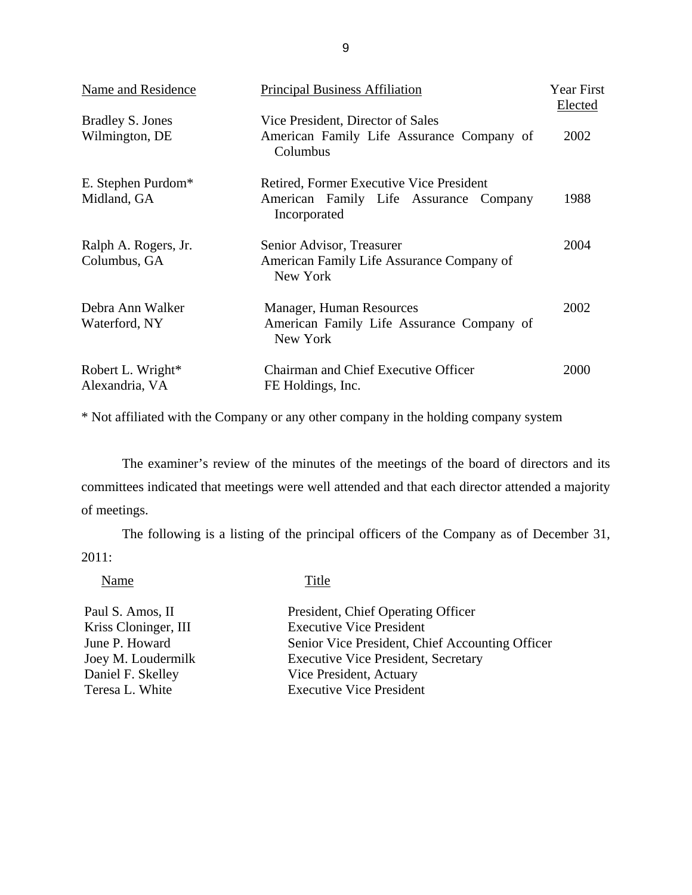| Name and Residence                            | <b>Principal Business Affiliation</b>                                                              | <b>Year First</b><br>Elected |
|-----------------------------------------------|----------------------------------------------------------------------------------------------------|------------------------------|
| <b>Bradley S. Jones</b><br>Wilmington, DE     | Vice President, Director of Sales<br>American Family Life Assurance Company of<br>Columbus         | 2002                         |
| E. Stephen Purdom <sup>*</sup><br>Midland, GA | Retired, Former Executive Vice President<br>American Family Life Assurance Company<br>Incorporated | 1988                         |
| Ralph A. Rogers, Jr.<br>Columbus, GA          | Senior Advisor, Treasurer<br>American Family Life Assurance Company of<br>New York                 | 2004                         |
| Debra Ann Walker<br>Waterford, NY             | Manager, Human Resources<br>American Family Life Assurance Company of<br>New York                  | 2002                         |
| Robert L. Wright*<br>Alexandria, VA           | <b>Chairman and Chief Executive Officer</b><br>FE Holdings, Inc.                                   | 2000                         |

\* Not affiliated with the Company or any other company in the holding company system

The examiner's review of the minutes of the meetings of the board of directors and its committees indicated that meetings were well attended and that each director attended a majority of meetings.

The following is a listing of the principal officers of the Company as of December 31, 2011:

Name Title

Paul S. Amos, II President, Chief Operating Officer Kriss Cloninger, III Executive Vice President June P. Howard Senior Vice President, Chief Accounting Officer Joey M. Loudermilk Executive Vice President, Secretary<br>Daniel F. Skelley Vice President, Actuary Vice President, Actuary Teresa L. White Executive Vice President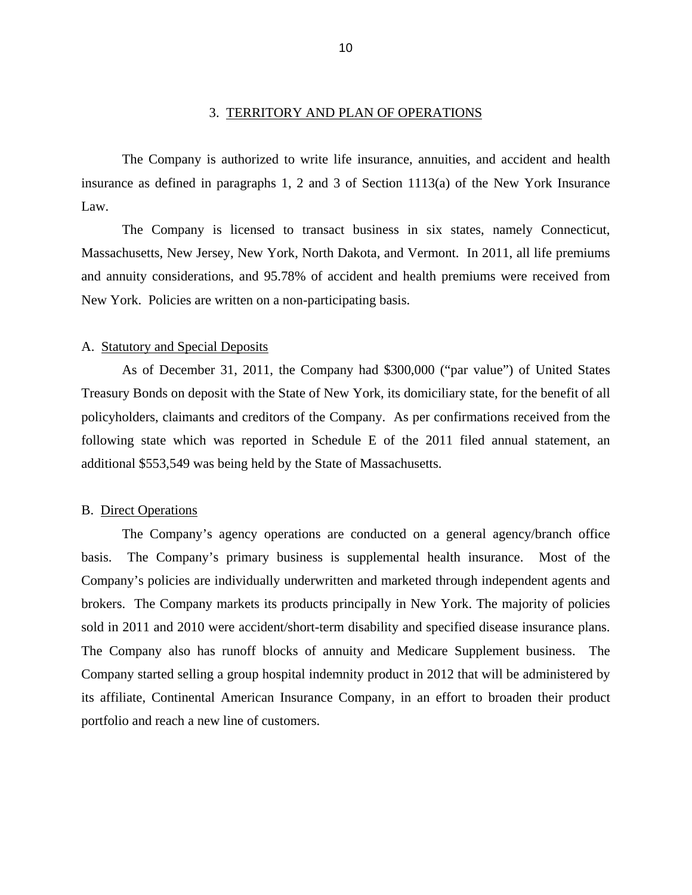<span id="page-12-0"></span>The Company is authorized to write life insurance, annuities, and accident and health insurance as defined in paragraphs 1, 2 and 3 of Section 1113(a) of the New York Insurance Law.

The Company is licensed to transact business in six states, namely Connecticut, Massachusetts, New Jersey, New York, North Dakota, and Vermont. In 2011, all life premiums and annuity considerations, and 95.78% of accident and health premiums were received from New York. Policies are written on a non-participating basis.

#### A. Statutory and Special Deposits

As of December 31, 2011, the Company had \$300,000 ("par value") of United States Treasury Bonds on deposit with the State of New York, its domiciliary state, for the benefit of all policyholders, claimants and creditors of the Company. As per confirmations received from the following state which was reported in Schedule E of the 2011 filed annual statement, an additional \$553,549 was being held by the State of Massachusetts.

#### B. Direct Operations

The Company's agency operations are conducted on a general agency/branch office basis. The Company's primary business is supplemental health insurance. Most of the Company's policies are individually underwritten and marketed through independent agents and brokers. The Company markets its products principally in New York. The majority of policies sold in 2011 and 2010 were accident/short-term disability and specified disease insurance plans. The Company also has runoff blocks of annuity and Medicare Supplement business. The Company started selling a group hospital indemnity product in 2012 that will be administered by its affiliate, Continental American Insurance Company, in an effort to broaden their product portfolio and reach a new line of customers.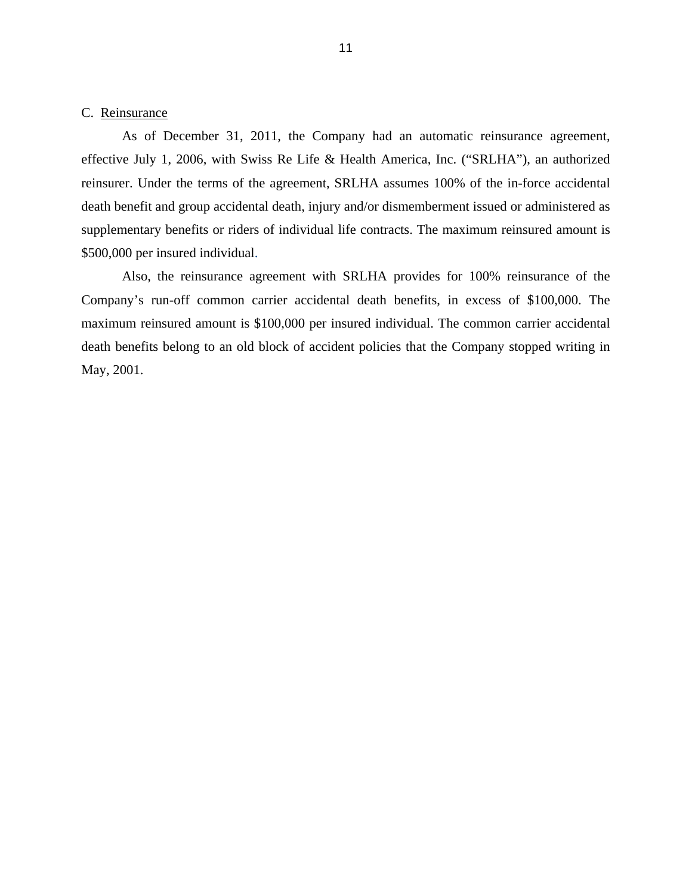#### <span id="page-13-0"></span>C. Reinsurance

As of December 31, 2011, the Company had an automatic reinsurance agreement, effective July 1, 2006, with Swiss Re Life & Health America, Inc. ("SRLHA"), an authorized reinsurer. Under the terms of the agreement, SRLHA assumes 100% of the in-force accidental death benefit and group accidental death, injury and/or dismemberment issued or administered as supplementary benefits or riders of individual life contracts. The maximum reinsured amount is \$500,000 per insured individual.

Also, the reinsurance agreement with SRLHA provides for 100% reinsurance of the Company's run-off common carrier accidental death benefits, in excess of \$100,000. The maximum reinsured amount is \$100,000 per insured individual. The common carrier accidental death benefits belong to an old block of accident policies that the Company stopped writing in May, 2001.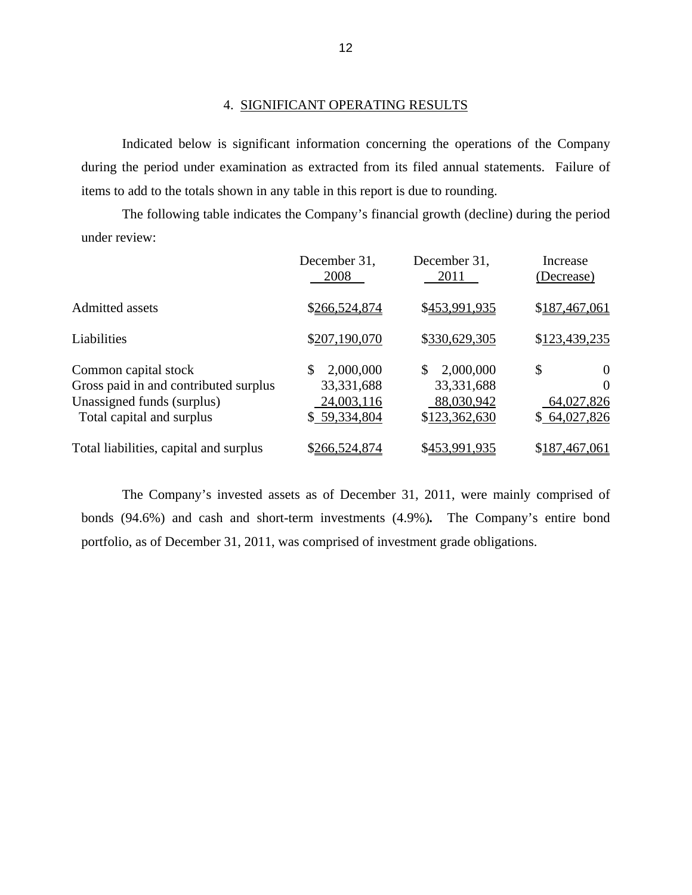#### 4. SIGNIFICANT OPERATING RESULTS

Indicated below is significant information concerning the operations of the Company during the period under examination as extracted from its filed annual statements. Failure of items to add to the totals shown in any table in this report is due to rounding.

The following table indicates the Company's financial growth (decline) during the period under review:

|                                                                                                                          | December 31,<br>2008                                    | December 31,<br>2011                                   | Increase<br>(Decrease)                                   |
|--------------------------------------------------------------------------------------------------------------------------|---------------------------------------------------------|--------------------------------------------------------|----------------------------------------------------------|
| <b>Admitted assets</b>                                                                                                   | \$266,524,874                                           | \$453,991,935                                          | \$187,467,061                                            |
| Liabilities                                                                                                              | \$207,190,070                                           | \$330,629,305                                          | \$123,439,235                                            |
| Common capital stock<br>Gross paid in and contributed surplus<br>Unassigned funds (surplus)<br>Total capital and surplus | 2,000,000<br>33, 331, 688<br>24,003,116<br>\$59,334,804 | 2,000,000<br>33,331,688<br>88,030,942<br>\$123,362,630 | \$<br>$\Omega$<br>$\theta$<br>64,027,826<br>\$64,027,826 |
| Total liabilities, capital and surplus                                                                                   | \$266,524,874                                           | \$453,991,935                                          | \$187,467,061                                            |

The Company's invested assets as of December 31, 2011, were mainly comprised of bonds (94.6%) and cash and short-term investments (4.9%)*.* The Company's entire bond portfolio, as of December 31, 2011, was comprised of investment grade obligations.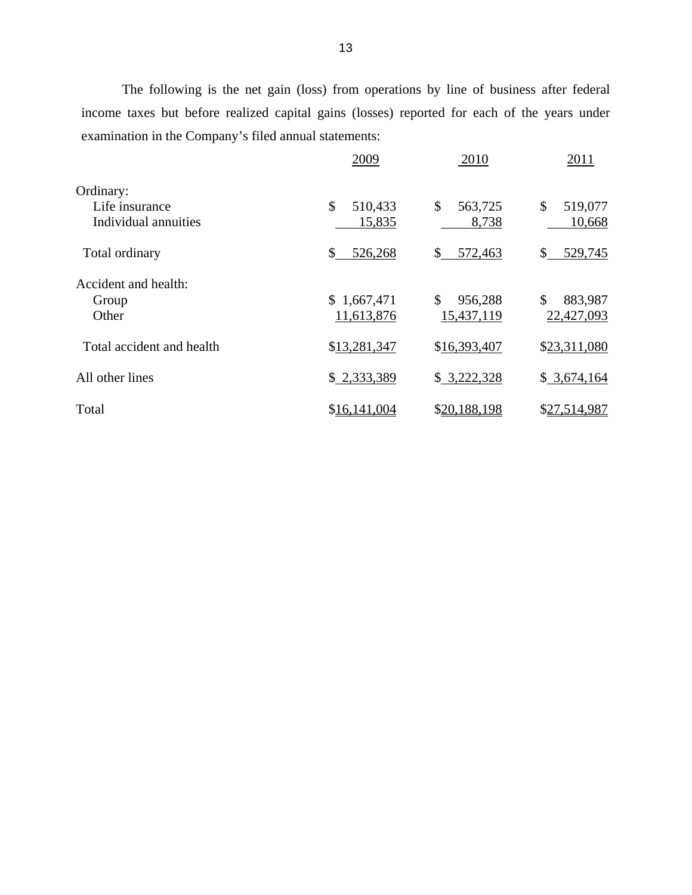The following is the net gain (loss) from operations by line of business after federal income taxes but before realized capital gains (losses) reported for each of the years under examination in the Company's filed annual statements:

|                                                     | 2009                      | 2010                        | 2011                        |
|-----------------------------------------------------|---------------------------|-----------------------------|-----------------------------|
| Ordinary:<br>Life insurance<br>Individual annuities | \$<br>510,433<br>15,835   | \$<br>563,725<br>8,738      | \$<br>519,077<br>10,668     |
| Total ordinary                                      | \$<br>526,268             | \$<br>572,463               | 529,745<br>\$               |
| Accident and health:<br>Group<br>Other              | \$1,667,471<br>11,613,876 | \$<br>956,288<br>15,437,119 | \$<br>883,987<br>22,427,093 |
| Total accident and health                           | \$13,281,347              | \$16,393,407                | \$23,311,080                |
| All other lines                                     | \$2,333,389               | \$3,222,328                 | \$3,674,164                 |
| Total                                               | \$16,141,004              | \$20,188,198                | \$27,514,987                |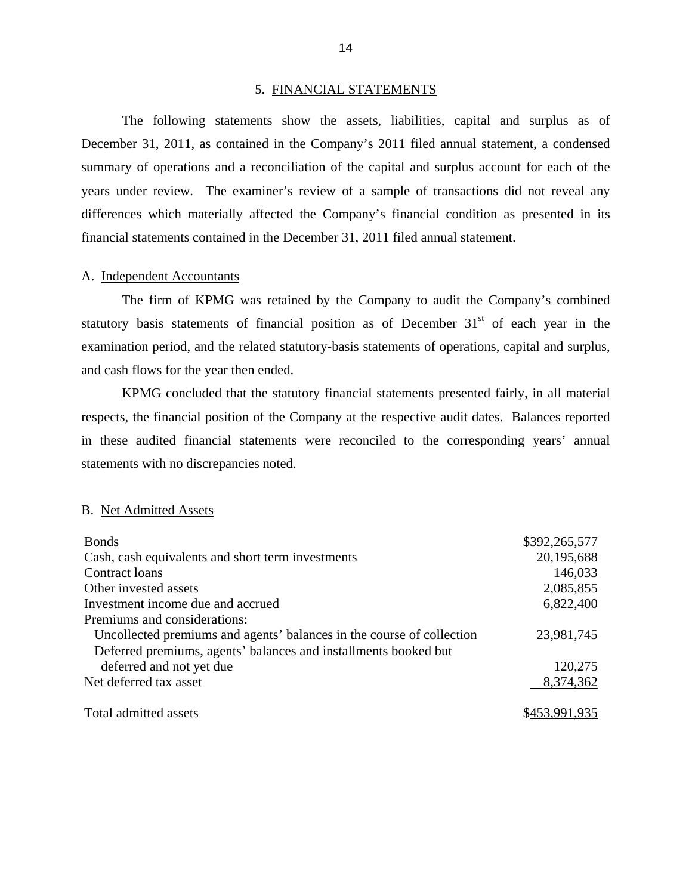#### 5. FINANCIAL STATEMENTS

The following statements show the assets, liabilities, capital and surplus as of December 31, 2011, as contained in the Company's 2011 filed annual statement, a condensed summary of operations and a reconciliation of the capital and surplus account for each of the years under review. The examiner's review of a sample of transactions did not reveal any differences which materially affected the Company's financial condition as presented in its financial statements contained in the December 31, 2011 filed annual statement.

#### A. Independent Accountants

The firm of KPMG was retained by the Company to audit the Company's combined statutory basis statements of financial position as of December 31<sup>st</sup> of each year in the examination period, and the related statutory-basis statements of operations, capital and surplus, and cash flows for the year then ended.

KPMG concluded that the statutory financial statements presented fairly, in all material respects, the financial position of the Company at the respective audit dates. Balances reported in these audited financial statements were reconciled to the corresponding years' annual statements with no discrepancies noted.

#### B. Net Admitted Assets

| <b>Bonds</b>                                                          | \$392,265,577 |
|-----------------------------------------------------------------------|---------------|
| Cash, cash equivalents and short term investments                     | 20,195,688    |
| Contract loans                                                        | 146,033       |
| Other invested assets                                                 | 2,085,855     |
| Investment income due and accrued                                     | 6,822,400     |
| Premiums and considerations:                                          |               |
| Uncollected premiums and agents' balances in the course of collection | 23,981,745    |
| Deferred premiums, agents' balances and installments booked but       |               |
| deferred and not yet due                                              | 120,275       |
| Net deferred tax asset                                                | 8,374,362     |
| Total admitted assets                                                 | \$453,991,935 |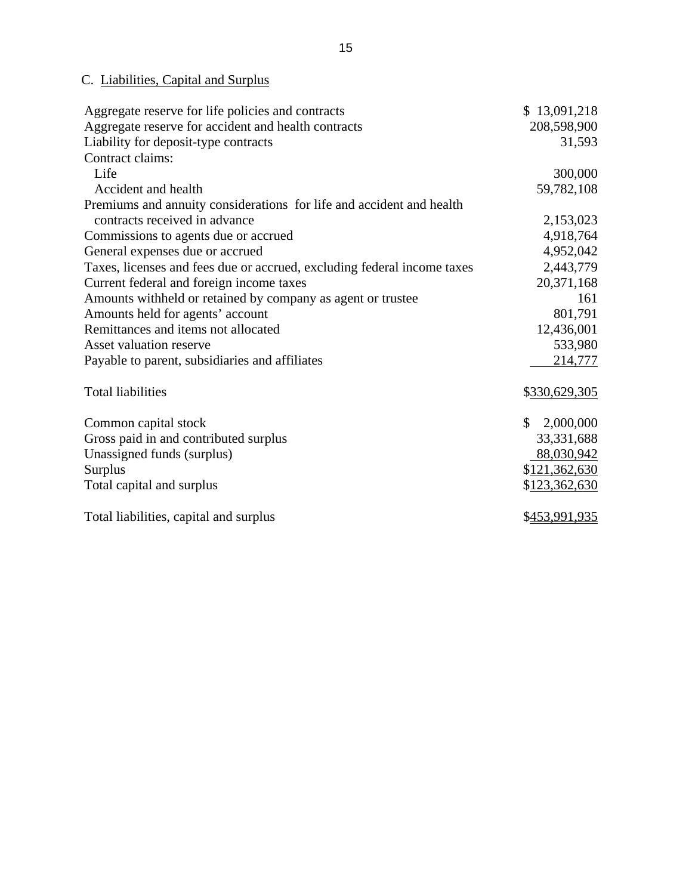# C. Liabilities, Capital and Surplus

| Aggregate reserve for life policies and contracts                       | \$13,091,218              |
|-------------------------------------------------------------------------|---------------------------|
| Aggregate reserve for accident and health contracts                     | 208,598,900               |
| Liability for deposit-type contracts                                    | 31,593                    |
| Contract claims:                                                        |                           |
| Life                                                                    | 300,000                   |
| Accident and health                                                     | 59,782,108                |
| Premiums and annuity considerations for life and accident and health    |                           |
| contracts received in advance                                           | 2,153,023                 |
| Commissions to agents due or accrued                                    | 4,918,764                 |
| General expenses due or accrued                                         | 4,952,042                 |
| Taxes, licenses and fees due or accrued, excluding federal income taxes | 2,443,779                 |
| Current federal and foreign income taxes                                | 20,371,168                |
| Amounts withheld or retained by company as agent or trustee             | 161                       |
| Amounts held for agents' account                                        | 801,791                   |
| Remittances and items not allocated                                     | 12,436,001                |
| Asset valuation reserve                                                 | 533,980                   |
| Payable to parent, subsidiaries and affiliates                          | 214,777                   |
|                                                                         |                           |
| <b>Total liabilities</b>                                                | \$330,629,305             |
| Common capital stock                                                    | $\mathbb{S}$<br>2,000,000 |
| Gross paid in and contributed surplus                                   | 33, 331, 688              |
| Unassigned funds (surplus)                                              | 88,030,942                |
| Surplus                                                                 | \$121,362,630             |
| Total capital and surplus                                               | \$123,362,630             |
|                                                                         |                           |
| Total liabilities, capital and surplus                                  | \$453,991,935             |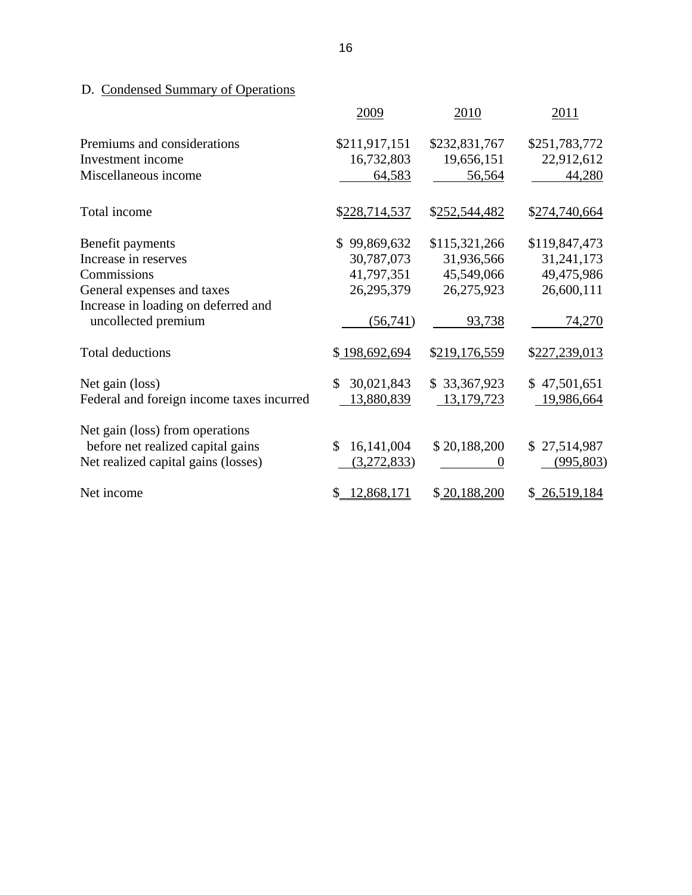# D. Condensed Summary of Operations

|                                           | 2009                         | 2010          | 2011          |
|-------------------------------------------|------------------------------|---------------|---------------|
| Premiums and considerations               | \$211,917,151                | \$232,831,767 | \$251,783,772 |
| Investment income                         | 16,732,803                   | 19,656,151    | 22,912,612    |
| Miscellaneous income                      | 64,583                       | 56,564        | 44,280        |
| Total income                              | \$228,714,537                | \$252,544,482 | \$274,740,664 |
| Benefit payments                          | \$99,869,632                 | \$115,321,266 | \$119,847,473 |
| Increase in reserves                      | 30,787,073                   | 31,936,566    | 31,241,173    |
| Commissions                               | 41,797,351                   | 45,549,066    | 49,475,986    |
| General expenses and taxes                | 26,295,379                   | 26,275,923    | 26,600,111    |
| Increase in loading on deferred and       |                              |               |               |
| uncollected premium                       | (56,741)                     | 93,738        | 74,270        |
| <b>Total deductions</b>                   | \$198,692,694                | \$219,176,559 | \$227,239,013 |
| Net gain (loss)                           | 30,021,843<br>S.             | \$33,367,923  | \$47,501,651  |
| Federal and foreign income taxes incurred | 13,880,839                   | 13,179,723    | 19,986,664    |
| Net gain (loss) from operations           |                              |               |               |
| before net realized capital gains         | 16, 141, 004<br>$\mathbb{S}$ | \$20,188,200  | \$27,514,987  |
| Net realized capital gains (losses)       | (3,272,833)                  | 0             | (995, 803)    |
| Net income                                | \$12,868,171                 | \$20,188,200  | \$26,519,184  |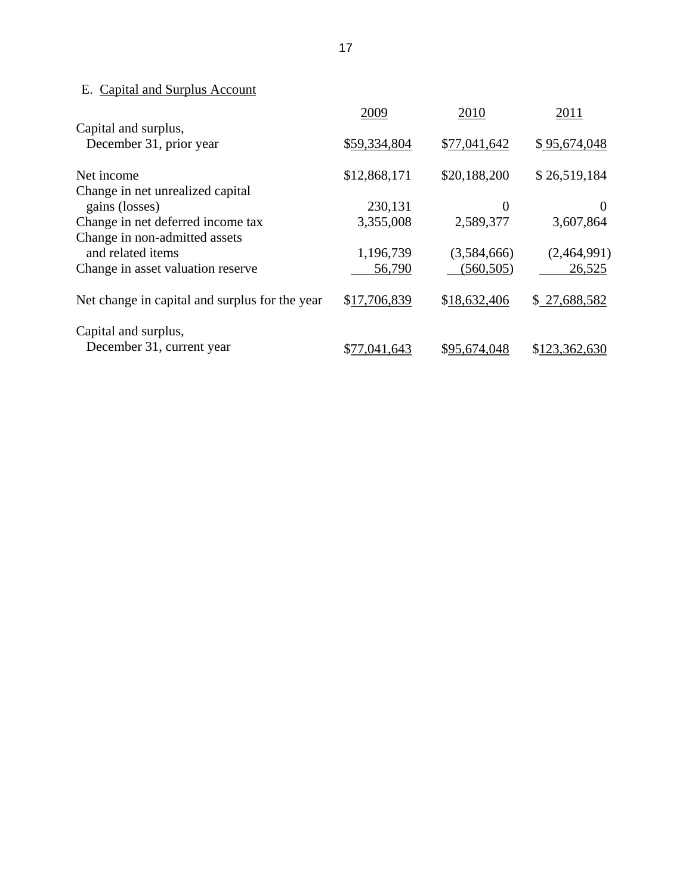# E. Capital and Surplus Account

|                                                | 2009         | 2010         | 2011          |
|------------------------------------------------|--------------|--------------|---------------|
| Capital and surplus,                           |              |              |               |
| December 31, prior year                        | \$59,334,804 | \$77,041,642 | \$95,674,048  |
| Net income                                     | \$12,868,171 | \$20,188,200 | \$26,519,184  |
| Change in net unrealized capital               |              |              |               |
| gains (losses)                                 | 230,131      | 0            | $\theta$      |
| Change in net deferred income tax              | 3,355,008    | 2,589,377    | 3,607,864     |
| Change in non-admitted assets                  |              |              |               |
| and related items                              | 1,196,739    | (3,584,666)  | (2,464,991)   |
| Change in asset valuation reserve              | 56,790       | (560, 505)   | 26,525        |
| Net change in capital and surplus for the year | \$17,706,839 | \$18,632,406 | \$27,688,582  |
| Capital and surplus,                           |              |              |               |
| December 31, current year                      | \$77,041,643 | \$95,674,048 | \$123,362,630 |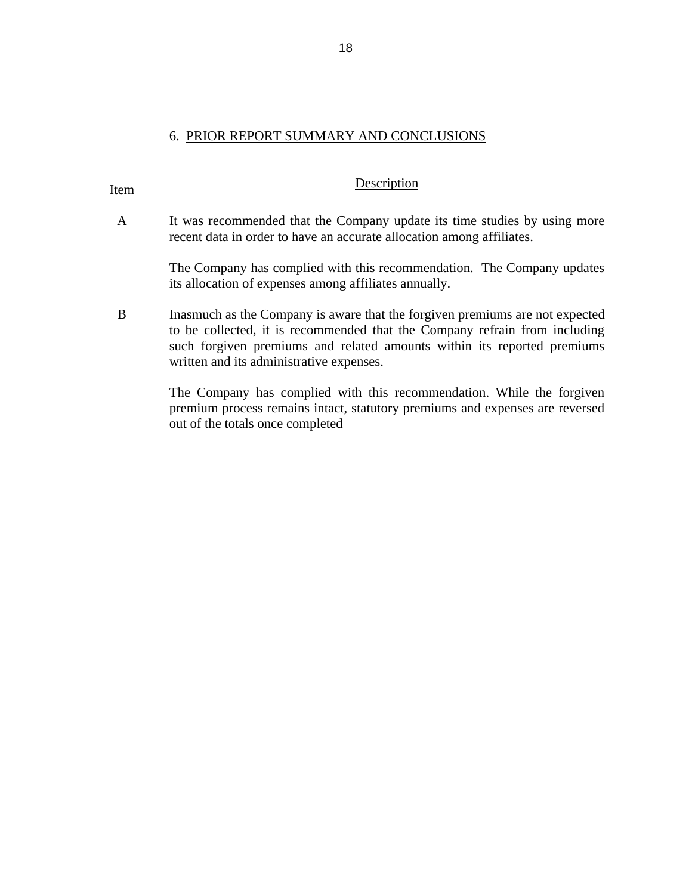### 6. PRIOR REPORT SUMMARY AND CONCLUSIONS

# <span id="page-20-0"></span>Item Description

A It was recommended that the Company update its time studies by using more recent data in order to have an accurate allocation among affiliates.

> its allocation of expenses among affiliates annually. The Company has complied with this recommendation. The Company updates

B Inasmuch as the Company is aware that the forgiven premiums are not expected to be collected, it is recommended that the Company refrain from including such forgiven premiums and related amounts within its reported premiums written and its administrative expenses.

> The Company has complied with this recommendation. While the forgiven premium process remains intact, statutory premiums and expenses are reversed out of the totals once completed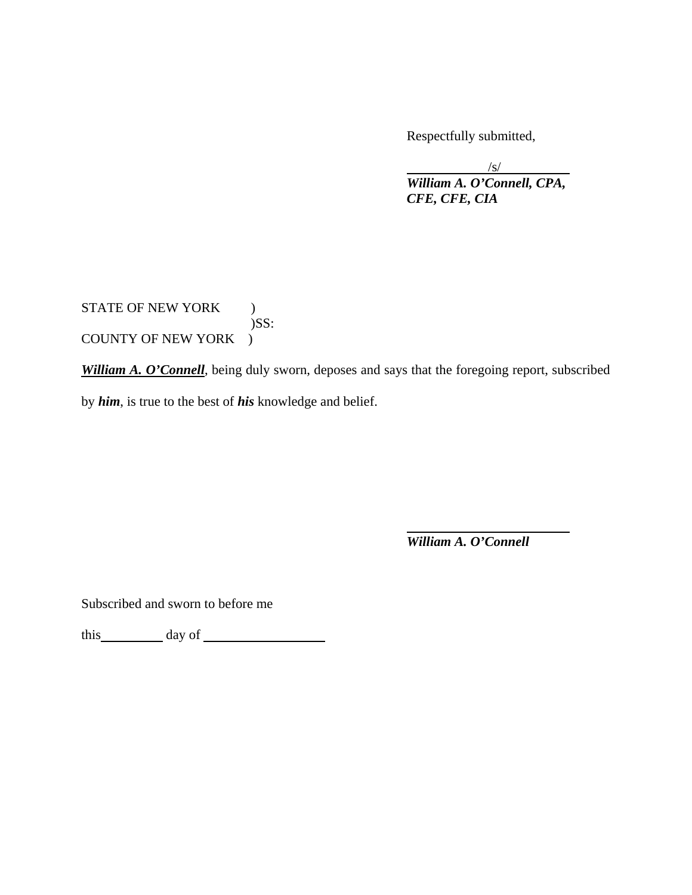Respectfully submitted,

 $\frac{1}{s}$ *William A. O'Connell, CPA, CFE, CFE, CIA* 

STATE OF NEW YORK ) )SS: COUNTY OF NEW YORK )

*William A. O'Connell*, being duly sworn, deposes and says that the foregoing report, subscribed

by *him*, is true to the best of *his* knowledge and belief.

*William A. O'Connell* 

Subscribed and sworn to before me

this day of